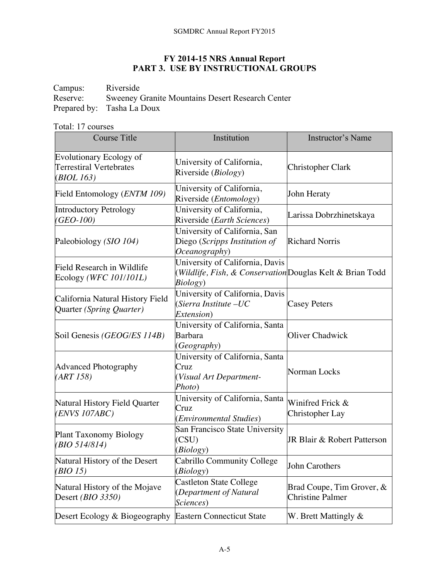## **FY 2014-15 NRS Annual Report PART 3. USE BY INSTRUCTIONAL GROUPS**

Campus: Riverside<br>Reserve: Sweeney ( Sweeney Granite Mountains Desert Research Center Prepared by: Tasha La Doux

Total: 17 courses

| <b>Course Title</b>                                                     | Institution                                                                                              | Instructor's Name                                    |
|-------------------------------------------------------------------------|----------------------------------------------------------------------------------------------------------|------------------------------------------------------|
| <b>Evolutionary Ecology of</b><br>Terrestiral Vertebrates<br>(BIOL 163) | University of California,<br>Riverside (Biology)                                                         | Christopher Clark                                    |
| Field Entomology (ENTM 109)                                             | University of California,<br>Riverside ( <i>Entomology</i> )                                             | John Heraty                                          |
| Introductory Petrology<br>(GEO-100)                                     | University of California,<br>Riverside (Earth Sciences)                                                  | Larissa Dobrzhinetskaya                              |
| Paleobiology (SIO 104)                                                  | University of California, San<br>Diego (Scripps Institution of<br>Oceanography)                          | <b>Richard Norris</b>                                |
| Field Research in Wildlife<br>Ecology (WFC 101/101L)                    | University of California, Davis<br>(Wildlife, Fish, & Conservation Douglas Kelt & Brian Todd<br>Biology) |                                                      |
| California Natural History Field<br>Quarter (Spring Quarter)            | University of California, Davis<br>(Sierra Institute –UC<br>Extension)                                   | <b>Casey Peters</b>                                  |
| Soil Genesis (GEOG/ES 114B)                                             | University of California, Santa<br><b>Barbara</b><br>(Geography)                                         | Oliver Chadwick                                      |
| <b>Advanced Photography</b><br>(ART 158)                                | University of California, Santa<br>Cruz<br>(Visual Art Department-<br>Photo)                             | Norman Locks                                         |
| Natural History Field Quarter<br>(ENVS 107ABC)                          | University of California, Santa<br>Cruz<br>(Environmental Studies)                                       | Winifred Frick &<br>Christopher Lay                  |
| <b>Plant Taxonomy Biology</b><br>(BIO 514/814)                          | San Francisco State University<br>(CSU)<br>(Biology)                                                     | JR Blair & Robert Patterson                          |
| Natural History of the Desert<br>( <i>BIO 15</i> )                      | Cabrillo Community College<br>(Biology)                                                                  | John Carothers                                       |
| Natural History of the Mojave<br>Desert ( <i>BIO</i> 3350)              | <b>Castleton State College</b><br>(Department of Natural<br>Sciences)                                    | Brad Coupe, Tim Grover, &<br><b>Christine Palmer</b> |
| Desert Ecology & Biogeography                                           | <b>Eastern Connecticut State</b>                                                                         | W. Brett Mattingly $\&$                              |